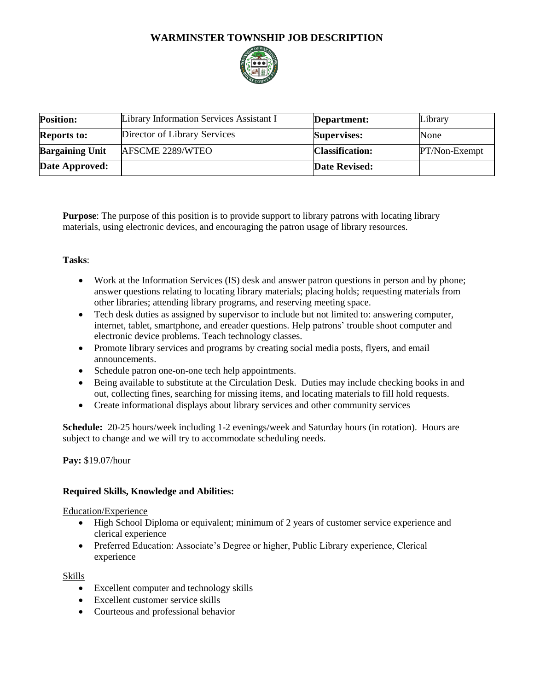# **WARMINSTER TOWNSHIP JOB DESCRIPTION**



| <b>Position:</b>       | Library Information Services Assistant I | Department:            | Library       |
|------------------------|------------------------------------------|------------------------|---------------|
| <b>Reports to:</b>     | Director of Library Services             | <b>Supervises:</b>     | None          |
| <b>Bargaining Unit</b> | AFSCME 2289/WTEO                         | <b>Classification:</b> | PT/Non-Exempt |
| Date Approved:         |                                          | Date Revised:          |               |

**Purpose**: The purpose of this position is to provide support to library patrons with locating library materials, using electronic devices, and encouraging the patron usage of library resources.

# **Tasks**:

- Work at the Information Services (IS) desk and answer patron questions in person and by phone; answer questions relating to locating library materials; placing holds; requesting materials from other libraries; attending library programs, and reserving meeting space.
- Tech desk duties as assigned by supervisor to include but not limited to: answering computer, internet, tablet, smartphone, and ereader questions. Help patrons' trouble shoot computer and electronic device problems. Teach technology classes.
- Promote library services and programs by creating social media posts, flyers, and email announcements.
- Schedule patron one-on-one tech help appointments.
- Being available to substitute at the Circulation Desk. Duties may include checking books in and out, collecting fines, searching for missing items, and locating materials to fill hold requests.
- Create informational displays about library services and other community services

**Schedule:** 20-25 hours/week including 1-2 evenings/week and Saturday hours (in rotation). Hours are subject to change and we will try to accommodate scheduling needs.

**Pay:** \$19.07/hour

## **Required Skills, Knowledge and Abilities:**

Education/Experience

- High School Diploma or equivalent; minimum of 2 years of customer service experience and clerical experience
- Preferred Education: Associate's Degree or higher, Public Library experience, Clerical experience

## Skills

- Excellent computer and technology skills
- Excellent customer service skills
- Courteous and professional behavior